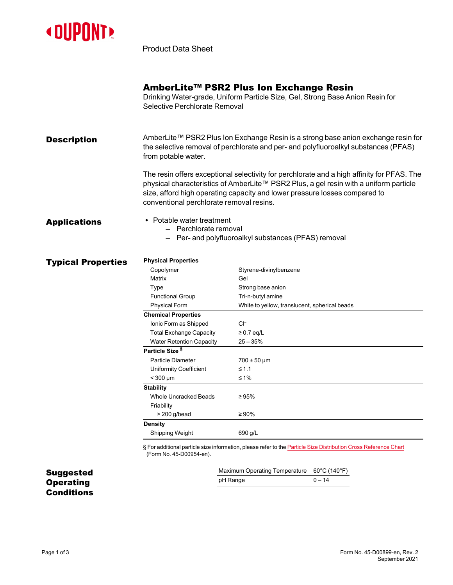

Product Data Sheet

|                           | AmberLite™ PSR2 Plus Ion Exchange Resin<br>Drinking Water-grade, Uniform Particle Size, Gel, Strong Base Anion Resin for<br>Selective Perchlorate Removal                                                                                                                                                     |                                               |
|---------------------------|---------------------------------------------------------------------------------------------------------------------------------------------------------------------------------------------------------------------------------------------------------------------------------------------------------------|-----------------------------------------------|
| <b>Description</b>        | AmberLite™ PSR2 Plus Ion Exchange Resin is a strong base anion exchange resin for<br>the selective removal of perchlorate and per- and polyfluoroalkyl substances (PFAS)<br>from potable water.                                                                                                               |                                               |
|                           | The resin offers exceptional selectivity for perchlorate and a high affinity for PFAS. The<br>physical characteristics of AmberLite™ PSR2 Plus, a gel resin with a uniform particle<br>size, afford high operating capacity and lower pressure losses compared to<br>conventional perchlorate removal resins. |                                               |
| <b>Applications</b>       | • Potable water treatment<br>- Perchlorate removal<br>Per- and polyfluoroalkyl substances (PFAS) removal                                                                                                                                                                                                      |                                               |
| <b>Typical Properties</b> | <b>Physical Properties</b>                                                                                                                                                                                                                                                                                    |                                               |
|                           | Copolymer                                                                                                                                                                                                                                                                                                     | Styrene-divinylbenzene                        |
|                           | Matrix                                                                                                                                                                                                                                                                                                        | Gel                                           |
|                           | Type                                                                                                                                                                                                                                                                                                          | Strong base anion                             |
|                           | <b>Functional Group</b>                                                                                                                                                                                                                                                                                       | Tri-n-butyl amine                             |
|                           | <b>Physical Form</b>                                                                                                                                                                                                                                                                                          | White to yellow, translucent, spherical beads |
|                           | <b>Chemical Properties</b>                                                                                                                                                                                                                                                                                    |                                               |
|                           | Ionic Form as Shipped                                                                                                                                                                                                                                                                                         | $Cl^-$                                        |
|                           | <b>Total Exchange Capacity</b>                                                                                                                                                                                                                                                                                | $\geq$ 0.7 eq/L                               |
|                           | <b>Water Retention Capacity</b>                                                                                                                                                                                                                                                                               | 25 – 35%                                      |
|                           | Particle Size <sup>§</sup>                                                                                                                                                                                                                                                                                    |                                               |
|                           | <b>Particle Diameter</b>                                                                                                                                                                                                                                                                                      | $700 \pm 50 \,\mu m$                          |
|                           | Uniformity Coefficient                                                                                                                                                                                                                                                                                        | $\leq 1.1$                                    |
|                           | $<$ 300 µm                                                                                                                                                                                                                                                                                                    | ≤ 1%                                          |
|                           | <b>Stability</b>                                                                                                                                                                                                                                                                                              |                                               |
|                           | <b>Whole Uncracked Beads</b>                                                                                                                                                                                                                                                                                  | $\geq 95\%$                                   |
|                           | Friability                                                                                                                                                                                                                                                                                                    |                                               |
|                           | $>$ 200 g/bead                                                                                                                                                                                                                                                                                                | $\geq 90\%$                                   |
|                           | <b>Density</b>                                                                                                                                                                                                                                                                                                |                                               |
|                           | Shipping Weight                                                                                                                                                                                                                                                                                               | 690 g/L                                       |
|                           |                                                                                                                                                                                                                                                                                                               |                                               |

§ For additional particle size information, please refer to the Particle Size [Distribution](https://www.dupont.com/content/dam/dupont/amer/us/en/water-solutions/public/documents/en/45-D00954-en.pdf) Cross Reference Chart (Form No. 45-D00954-en).

Suggested Operating **Conditions** Maximum Operating Temperature 60°C (140°F)  $pH$  Range  $0-14$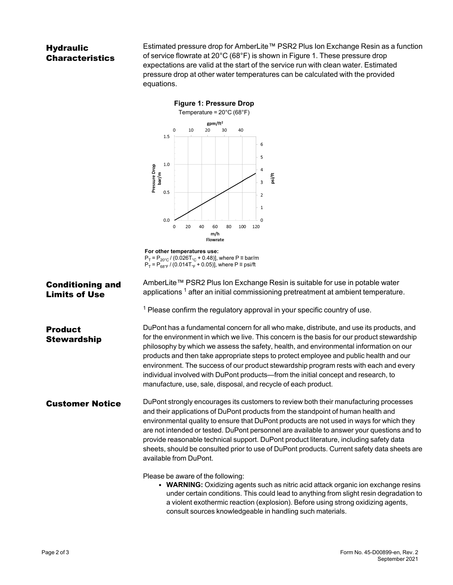## **Hydraulic** Characteristics

Estimated pressure drop for AmberLite™ PSR2 Plus Ion Exchange Resin as a function of service flowrate at 20°C (68°F) is shown in [Figure 1](#page-1-0). These pressure drop expectations are valid at the start of the service run with clean water. Estimated pressure drop at other water temperatures can be calculated with the provided equations.

<span id="page-1-0"></span>

**For other temperatures use:**  $P_T = P_{20\degree C} / (0.026T_{\degree C} + 0.48)$ , where P = bar/m  $P_T = P_{68°F} = (0.014 T_{rf} + 0.05)$ , where P = psi/ft

Conditioning and Limits of Use AmberLite™ PSR2 Plus Ion Exchange Resin is suitable for use in potable water applications<sup>1</sup> after an initial commissioning pretreatment at ambient temperature.  $1$  Please confirm the regulatory approval in your specific country of use. **Product Stewardship** DuPont has a fundamental concern for all who make, distribute, and use its products, and for the environment in which we live. This concern is the basis for our product stewardship philosophy by which we assess the safety, health, and environmental information on our products and then take appropriate steps to protect employee and public health and our environment. The success of our product stewardship program rests with each and every individual involved with DuPont products—from the initial concept and research, to manufacture, use, sale, disposal, and recycle of each product. **Customer Notice** DuPont strongly encourages its customers to review both their manufacturing processes and their applications of DuPont products from the standpoint of human health and environmental quality to ensure that DuPont products are not used in ways for which they are not intended or tested. DuPont personnel are available to answer your questions and to provide reasonable technical support. DuPont product literature, including safety data sheets, should be consulted prior to use of DuPont products. Current safety data sheets are available from DuPont. Please be aware of the following: **• WARNING:** Oxidizing agents such as nitric acid attack organic ion exchange resins under certain conditions. This could lead to anything from slight resin degradation to

a violent exothermic reaction (explosion). Before using strong oxidizing agents,

consult sources knowledgeable in handling such materials.